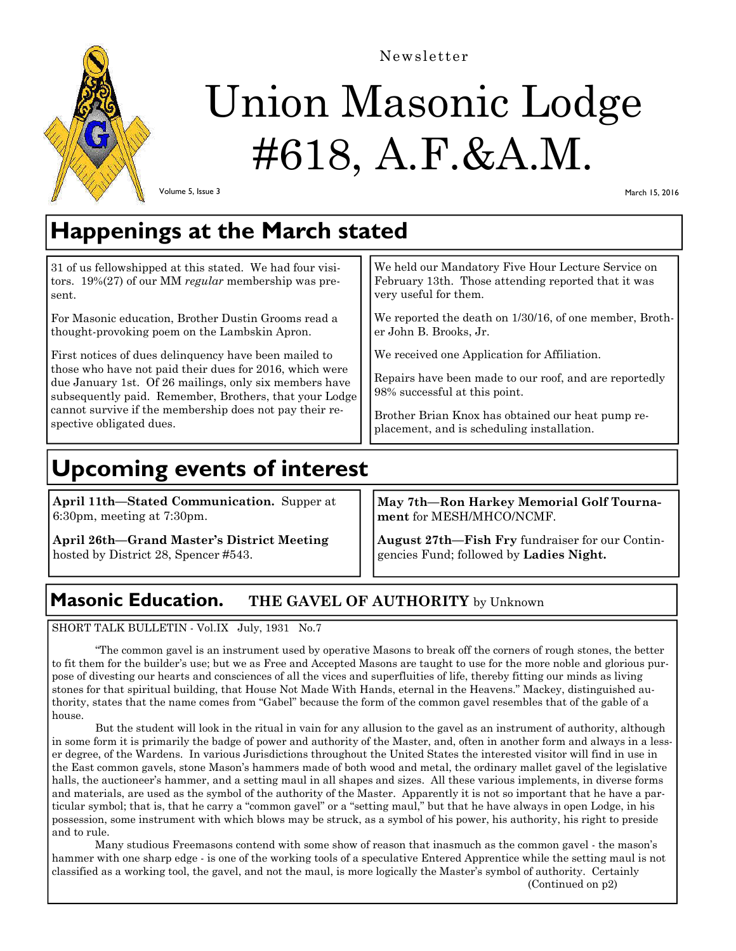

Newsletter

# Union Masonic Lodge #618, A.F.&A.M.

Volume 5, Issue 3

March 15, 2016

### **Happenings at the March stated**

| 31 of us fellowshipped at this stated. We had four visi-                                                                                                                                                                                                                                                                    | We held our Mandatory Five Hour Lecture Service on                                                                                                                                                                                         |
|-----------------------------------------------------------------------------------------------------------------------------------------------------------------------------------------------------------------------------------------------------------------------------------------------------------------------------|--------------------------------------------------------------------------------------------------------------------------------------------------------------------------------------------------------------------------------------------|
| tors. $19\%(27)$ of our MM regular membership was pre-                                                                                                                                                                                                                                                                      | February 13th. Those attending reported that it was                                                                                                                                                                                        |
| sent.                                                                                                                                                                                                                                                                                                                       | very useful for them.                                                                                                                                                                                                                      |
| For Masonic education, Brother Dustin Grooms read a                                                                                                                                                                                                                                                                         | We reported the death on 1/30/16, of one member, Broth-                                                                                                                                                                                    |
| thought-provoking poem on the Lambskin Apron.                                                                                                                                                                                                                                                                               | er John B. Brooks, Jr.                                                                                                                                                                                                                     |
| First notices of dues delinquency have been mailed to<br>those who have not paid their dues for 2016, which were<br>due January 1st. Of 26 mailings, only six members have<br>subsequently paid. Remember, Brothers, that your Lodge<br>cannot survive if the membership does not pay their re-<br>spective obligated dues. | We received one Application for Affiliation.<br>Repairs have been made to our roof, and are reportedly<br>98% successful at this point.<br>Brother Brian Knox has obtained our heat pump re-<br>placement, and is scheduling installation. |

# **Upcoming events of interest**

**April 11th—Stated Communication.** Supper at 6:30pm, meeting at 7:30pm.

**April 26th—Grand Master's District Meeting**  hosted by District 28, Spencer #543.

**May 7th—Ron Harkey Memorial Golf Tournament** for MESH/MHCO/NCMF.

**August 27th—Fish Fry** fundraiser for our Contingencies Fund; followed by **Ladies Night.** 

### **Masonic Education. THE GAVEL OF AUTHORITY** by Unknown

SHORT TALK BULLETIN - Vol.IX July, 1931 No.7

 "The common gavel is an instrument used by operative Masons to break off the corners of rough stones, the better to fit them for the builder's use; but we as Free and Accepted Masons are taught to use for the more noble and glorious purpose of divesting our hearts and consciences of all the vices and superfluities of life, thereby fitting our minds as living stones for that spiritual building, that House Not Made With Hands, eternal in the Heavens." Mackey, distinguished authority, states that the name comes from "Gabel" because the form of the common gavel resembles that of the gable of a house.

 But the student will look in the ritual in vain for any allusion to the gavel as an instrument of authority, although in some form it is primarily the badge of power and authority of the Master, and, often in another form and always in a lesser degree, of the Wardens. In various Jurisdictions throughout the United States the interested visitor will find in use in the East common gavels, stone Mason's hammers made of both wood and metal, the ordinary mallet gavel of the legislative halls, the auctioneer's hammer, and a setting maul in all shapes and sizes. All these various implements, in diverse forms and materials, are used as the symbol of the authority of the Master. Apparently it is not so important that he have a particular symbol; that is, that he carry a "common gavel" or a "setting maul," but that he have always in open Lodge, in his possession, some instrument with which blows may be struck, as a symbol of his power, his authority, his right to preside and to rule.

 Many studious Freemasons contend with some show of reason that inasmuch as the common gavel - the mason's hammer with one sharp edge - is one of the working tools of a speculative Entered Apprentice while the setting maul is not classified as a working tool, the gavel, and not the maul, is more logically the Master's symbol of authority. Certainly (Continued on p2)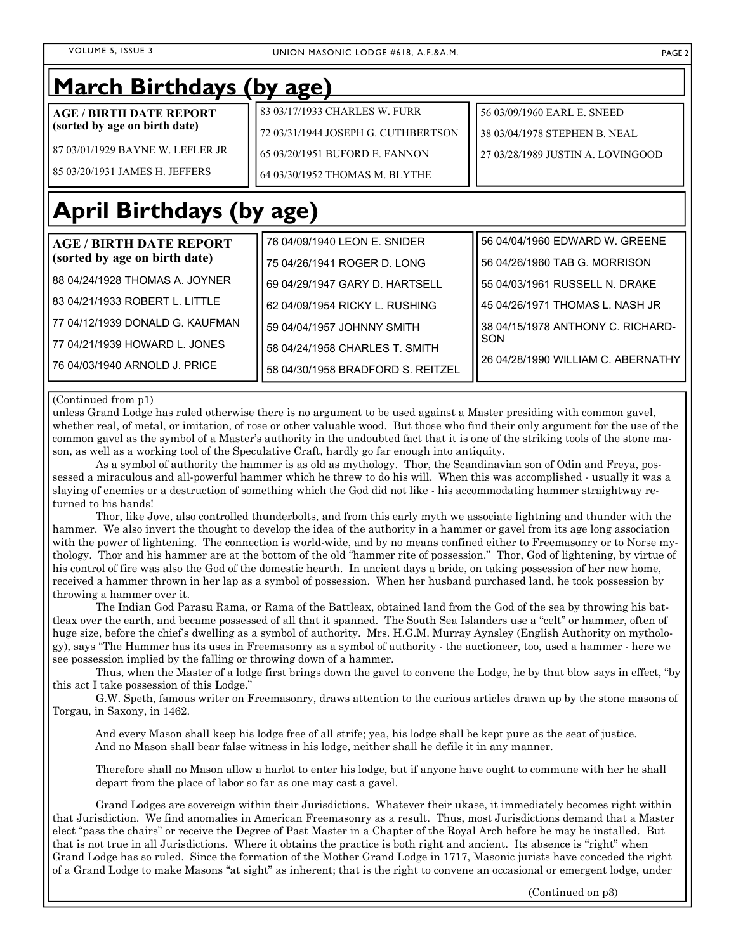### **March Birthdays (by age)**

| AGE / BIRTH DATE REPORT             | 183 03/17/1933 CHARLES W. FURR      | 56 03/09/1960 EARL E. SNEED       |
|-------------------------------------|-------------------------------------|-----------------------------------|
| (sorted by age on birth date)       | 72 03/31/1944 JOSEPH G. CUTHBERTSON | 138 03/04/1978 STEPHEN B. NEAL    |
| l 87 03/01/1929 BAYNE W. LEFLER JR- | l 65 03/20/1951 BUFORD E. FANNON    | 27 03/28/1989 JUSTIN A. LOVINGOOD |
| l 85 03/20/1931 JAMES H. JEFFERS    | 64 03/30/1952 THOMAS M. BLYTHE      |                                   |

# **April Birthdays (by age)**

| <b>AGE / BIRTH DATE REPORT</b>    | 76 04/09/1940 LEON E. SNIDER        | 56 04/04/1960 EDWARD W. GREENE     |
|-----------------------------------|-------------------------------------|------------------------------------|
| (sorted by age on birth date)     | 75 04/26/1941 ROGER D. LONG         | 56 04/26/1960 TAB G. MORRISON      |
| l 88 04/24/1928 THOMAS A. JOYNER_ | 169 04/29/1947 GARY D. HARTSELL     | l 55 04/03/1961 RUSSELL N. DRAKE   |
| 183 04/21/1933 ROBERT L. LITTLE   | l 62 04/09/1954 RICKY L. RUSHING    | l 45 04/26/1971 THOMAS L. NASH JR  |
| l 77 04/12/1939 DONALD G. KAUFMAN | 159 04/04/1957 JOHNNY SMITH         | 38 04/15/1978 ANTHONY C. RICHARD-  |
| l 77 04/21/1939 HOWARD L. JONES   | 58 04/24/1958 CHARLES T. SMITH      | SON                                |
| l 76 04/03/1940 ARNOLD J. PRICE   | l 58 04/30/1958 BRADFORD S. REITZEL | 26 04/28/1990 WILLIAM C. ABERNATHY |

#### (Continued from p1)

unless Grand Lodge has ruled otherwise there is no argument to be used against a Master presiding with common gavel, whether real, of metal, or imitation, of rose or other valuable wood. But those who find their only argument for the use of the common gavel as the symbol of a Master's authority in the undoubted fact that it is one of the striking tools of the stone mason, as well as a working tool of the Speculative Craft, hardly go far enough into antiquity.

 As a symbol of authority the hammer is as old as mythology. Thor, the Scandinavian son of Odin and Freya, possessed a miraculous and all-powerful hammer which he threw to do his will. When this was accomplished - usually it was a slaying of enemies or a destruction of something which the God did not like - his accommodating hammer straightway returned to his hands!

 Thor, like Jove, also controlled thunderbolts, and from this early myth we associate lightning and thunder with the hammer. We also invert the thought to develop the idea of the authority in a hammer or gavel from its age long association with the power of lightening. The connection is world-wide, and by no means confined either to Freemasonry or to Norse mythology. Thor and his hammer are at the bottom of the old "hammer rite of possession." Thor, God of lightening, by virtue of his control of fire was also the God of the domestic hearth. In ancient days a bride, on taking possession of her new home, received a hammer thrown in her lap as a symbol of possession. When her husband purchased land, he took possession by throwing a hammer over it.

 The Indian God Parasu Rama, or Rama of the Battleax, obtained land from the God of the sea by throwing his battleax over the earth, and became possessed of all that it spanned. The South Sea Islanders use a "celt" or hammer, often of huge size, before the chief's dwelling as a symbol of authority. Mrs. H.G.M. Murray Aynsley (English Authority on mythology), says "The Hammer has its uses in Freemasonry as a symbol of authority - the auctioneer, too, used a hammer - here we see possession implied by the falling or throwing down of a hammer.

 Thus, when the Master of a lodge first brings down the gavel to convene the Lodge, he by that blow says in effect, "by this act I take possession of this Lodge."

 G.W. Speth, famous writer on Freemasonry, draws attention to the curious articles drawn up by the stone masons of Torgau, in Saxony, in 1462.

And every Mason shall keep his lodge free of all strife; yea, his lodge shall be kept pure as the seat of justice. And no Mason shall bear false witness in his lodge, neither shall he defile it in any manner.

Therefore shall no Mason allow a harlot to enter his lodge, but if anyone have ought to commune with her he shall depart from the place of labor so far as one may cast a gavel.

 Grand Lodges are sovereign within their Jurisdictions. Whatever their ukase, it immediately becomes right within that Jurisdiction. We find anomalies in American Freemasonry as a result. Thus, most Jurisdictions demand that a Master elect "pass the chairs" or receive the Degree of Past Master in a Chapter of the Royal Arch before he may be installed. But that is not true in all Jurisdictions. Where it obtains the practice is both right and ancient. Its absence is "right" when Grand Lodge has so ruled. Since the formation of the Mother Grand Lodge in 1717, Masonic jurists have conceded the right of a Grand Lodge to make Masons "at sight" as inherent; that is the right to convene an occasional or emergent lodge, under

(Continued on p3)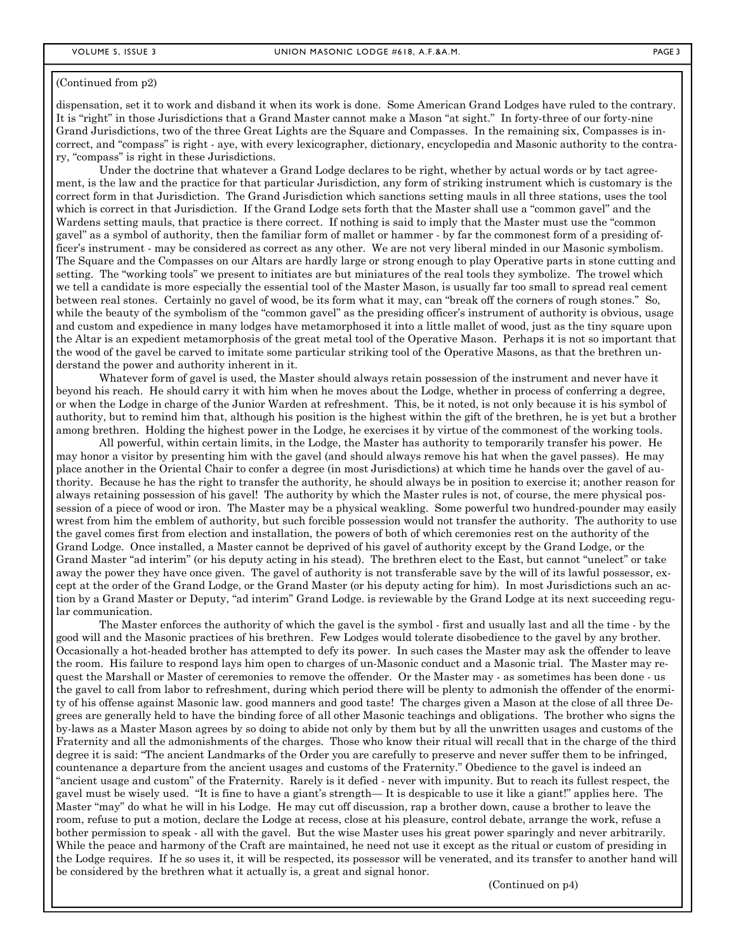#### (Continued from p2)

dispensation, set it to work and disband it when its work is done. Some American Grand Lodges have ruled to the contrary. It is "right" in those Jurisdictions that a Grand Master cannot make a Mason "at sight." In forty-three of our forty-nine Grand Jurisdictions, two of the three Great Lights are the Square and Compasses. In the remaining six, Compasses is incorrect, and "compass" is right - aye, with every lexicographer, dictionary, encyclopedia and Masonic authority to the contrary, "compass" is right in these Jurisdictions.

 Under the doctrine that whatever a Grand Lodge declares to be right, whether by actual words or by tact agreement, is the law and the practice for that particular Jurisdiction, any form of striking instrument which is customary is the correct form in that Jurisdiction. The Grand Jurisdiction which sanctions setting mauls in all three stations, uses the tool which is correct in that Jurisdiction. If the Grand Lodge sets forth that the Master shall use a "common gavel" and the Wardens setting mauls, that practice is there correct. If nothing is said to imply that the Master must use the "common gavel" as a symbol of authority, then the familiar form of mallet or hammer - by far the commonest form of a presiding officer's instrument - may be considered as correct as any other. We are not very liberal minded in our Masonic symbolism. The Square and the Compasses on our Altars are hardly large or strong enough to play Operative parts in stone cutting and setting. The "working tools" we present to initiates are but miniatures of the real tools they symbolize. The trowel which we tell a candidate is more especially the essential tool of the Master Mason, is usually far too small to spread real cement between real stones. Certainly no gavel of wood, be its form what it may, can "break off the corners of rough stones." So, while the beauty of the symbolism of the "common gavel" as the presiding officer's instrument of authority is obvious, usage and custom and expedience in many lodges have metamorphosed it into a little mallet of wood, just as the tiny square upon the Altar is an expedient metamorphosis of the great metal tool of the Operative Mason. Perhaps it is not so important that the wood of the gavel be carved to imitate some particular striking tool of the Operative Masons, as that the brethren understand the power and authority inherent in it.

 Whatever form of gavel is used, the Master should always retain possession of the instrument and never have it beyond his reach. He should carry it with him when he moves about the Lodge, whether in process of conferring a degree, or when the Lodge in charge of the Junior Warden at refreshment. This, be it noted, is not only because it is his symbol of authority, but to remind him that, although his position is the highest within the gift of the brethren, he is yet but a brother among brethren. Holding the highest power in the Lodge, he exercises it by virtue of the commonest of the working tools.

 All powerful, within certain limits, in the Lodge, the Master has authority to temporarily transfer his power. He may honor a visitor by presenting him with the gavel (and should always remove his hat when the gavel passes). He may place another in the Oriental Chair to confer a degree (in most Jurisdictions) at which time he hands over the gavel of authority. Because he has the right to transfer the authority, he should always be in position to exercise it; another reason for always retaining possession of his gavel! The authority by which the Master rules is not, of course, the mere physical possession of a piece of wood or iron. The Master may be a physical weakling. Some powerful two hundred-pounder may easily wrest from him the emblem of authority, but such forcible possession would not transfer the authority. The authority to use the gavel comes first from election and installation, the powers of both of which ceremonies rest on the authority of the Grand Lodge. Once installed, a Master cannot be deprived of his gavel of authority except by the Grand Lodge, or the Grand Master "ad interim" (or his deputy acting in his stead). The brethren elect to the East, but cannot "unelect" or take away the power they have once given. The gavel of authority is not transferable save by the will of its lawful possessor, except at the order of the Grand Lodge, or the Grand Master (or his deputy acting for him). In most Jurisdictions such an action by a Grand Master or Deputy, "ad interim" Grand Lodge. is reviewable by the Grand Lodge at its next succeeding regular communication.

 The Master enforces the authority of which the gavel is the symbol - first and usually last and all the time - by the good will and the Masonic practices of his brethren. Few Lodges would tolerate disobedience to the gavel by any brother. Occasionally a hot-headed brother has attempted to defy its power. In such cases the Master may ask the offender to leave the room. His failure to respond lays him open to charges of un-Masonic conduct and a Masonic trial. The Master may request the Marshall or Master of ceremonies to remove the offender. Or the Master may - as sometimes has been done - us the gavel to call from labor to refreshment, during which period there will be plenty to admonish the offender of the enormity of his offense against Masonic law. good manners and good taste! The charges given a Mason at the close of all three Degrees are generally held to have the binding force of all other Masonic teachings and obligations. The brother who signs the by-laws as a Master Mason agrees by so doing to abide not only by them but by all the unwritten usages and customs of the Fraternity and all the admonishments of the charges. Those who know their ritual will recall that in the charge of the third degree it is said: "The ancient Landmarks of the Order you are carefully to preserve and never suffer them to be infringed, countenance a departure from the ancient usages and customs of the Fraternity." Obedience to the gavel is indeed an "ancient usage and custom" of the Fraternity. Rarely is it defied - never with impunity. But to reach its fullest respect, the gavel must be wisely used. "It is fine to have a giant's strength— It is despicable to use it like a giant!" applies here. The Master "may" do what he will in his Lodge. He may cut off discussion, rap a brother down, cause a brother to leave the room, refuse to put a motion, declare the Lodge at recess, close at his pleasure, control debate, arrange the work, refuse a bother permission to speak - all with the gavel. But the wise Master uses his great power sparingly and never arbitrarily. While the peace and harmony of the Craft are maintained, he need not use it except as the ritual or custom of presiding in the Lodge requires. If he so uses it, it will be respected, its possessor will be venerated, and its transfer to another hand will be considered by the brethren what it actually is, a great and signal honor.

(Continued on p4)